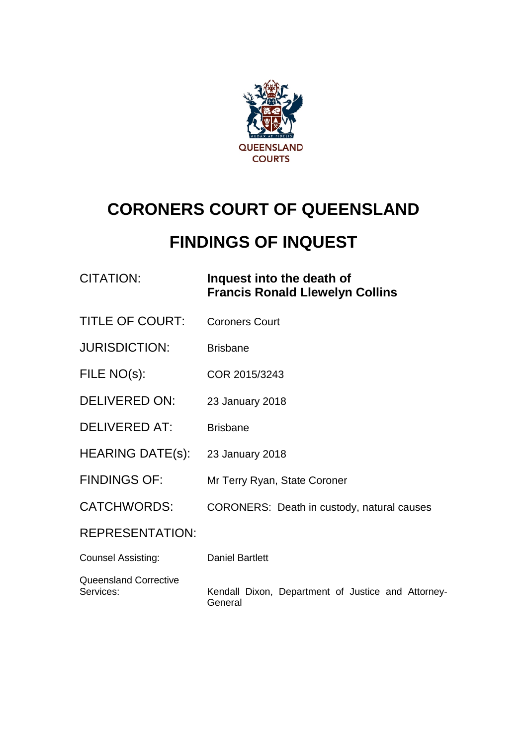

# **CORONERS COURT OF QUEENSLAND**

## **FINDINGS OF INQUEST**

| CITATION: | Inquest into the death of              |
|-----------|----------------------------------------|
|           | <b>Francis Ronald Llewelyn Collins</b> |

- TITLE OF COURT: Coroners Court
- JURISDICTION: Brisbane
- FILE NO(s): COR 2015/3243
- DELIVERED ON: 23 January 2018
- DELIVERED AT: Brisbane
- HEARING DATE(s): 23 January 2018
- FINDINGS OF: Mr Terry Ryan, State Coroner
- CATCHWORDS: CORONERS: Death in custody, natural causes

REPRESENTATION:

| Counsel Assisting:    | Daniel Bartlett                                    |
|-----------------------|----------------------------------------------------|
| Queensland Corrective | Kendall Dixon, Department of Justice and Attorney- |
| Services:             | General                                            |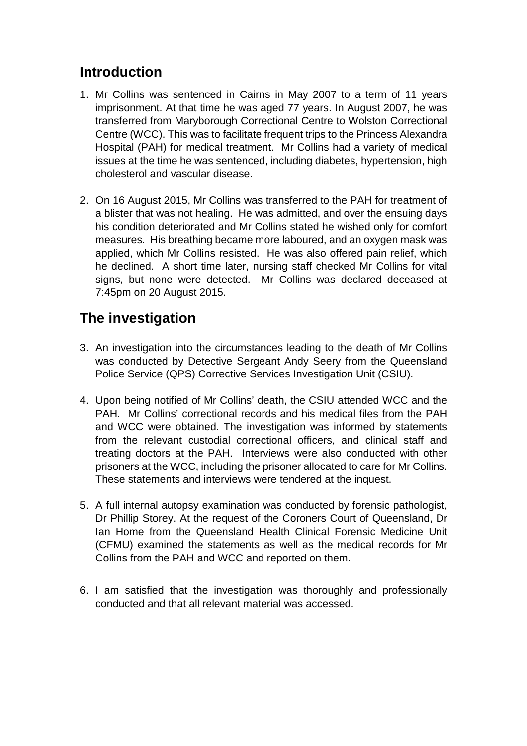### **Introduction**

- 1. Mr Collins was sentenced in Cairns in May 2007 to a term of 11 years imprisonment. At that time he was aged 77 years. In August 2007, he was transferred from Maryborough Correctional Centre to Wolston Correctional Centre (WCC). This was to facilitate frequent trips to the Princess Alexandra Hospital (PAH) for medical treatment. Mr Collins had a variety of medical issues at the time he was sentenced, including diabetes, hypertension, high cholesterol and vascular disease.
- 2. On 16 August 2015, Mr Collins was transferred to the PAH for treatment of a blister that was not healing. He was admitted, and over the ensuing days his condition deteriorated and Mr Collins stated he wished only for comfort measures. His breathing became more laboured, and an oxygen mask was applied, which Mr Collins resisted. He was also offered pain relief, which he declined. A short time later, nursing staff checked Mr Collins for vital signs, but none were detected. Mr Collins was declared deceased at 7:45pm on 20 August 2015.

## **The investigation**

- 3. An investigation into the circumstances leading to the death of Mr Collins was conducted by Detective Sergeant Andy Seery from the Queensland Police Service (QPS) Corrective Services Investigation Unit (CSIU).
- 4. Upon being notified of Mr Collins' death, the CSIU attended WCC and the PAH. Mr Collins' correctional records and his medical files from the PAH and WCC were obtained. The investigation was informed by statements from the relevant custodial correctional officers, and clinical staff and treating doctors at the PAH. Interviews were also conducted with other prisoners at the WCC, including the prisoner allocated to care for Mr Collins. These statements and interviews were tendered at the inquest.
- 5. A full internal autopsy examination was conducted by forensic pathologist, Dr Phillip Storey. At the request of the Coroners Court of Queensland, Dr Ian Home from the Queensland Health Clinical Forensic Medicine Unit (CFMU) examined the statements as well as the medical records for Mr Collins from the PAH and WCC and reported on them.
- 6. I am satisfied that the investigation was thoroughly and professionally conducted and that all relevant material was accessed.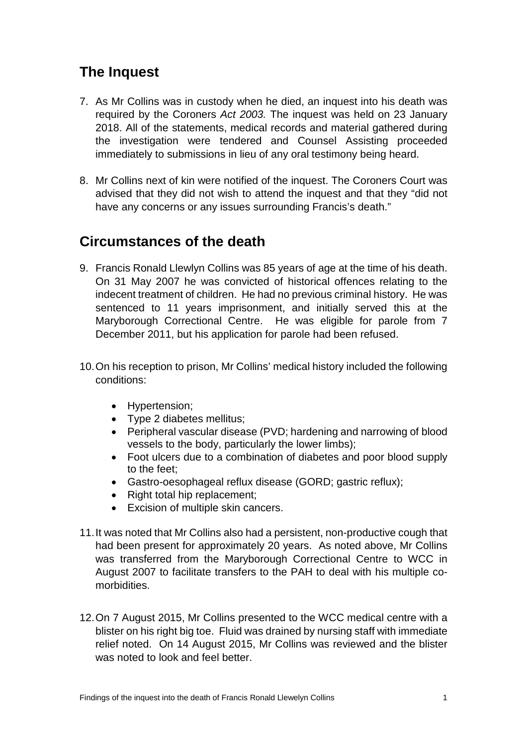## **The Inquest**

- 7. As Mr Collins was in custody when he died, an inquest into his death was required by the Coroners *Act 2003.* The inquest was held on 23 January 2018. All of the statements, medical records and material gathered during the investigation were tendered and Counsel Assisting proceeded immediately to submissions in lieu of any oral testimony being heard.
- 8. Mr Collins next of kin were notified of the inquest. The Coroners Court was advised that they did not wish to attend the inquest and that they "did not have any concerns or any issues surrounding Francis's death."

#### **Circumstances of the death**

- 9. Francis Ronald Llewlyn Collins was 85 years of age at the time of his death. On 31 May 2007 he was convicted of historical offences relating to the indecent treatment of children. He had no previous criminal history. He was sentenced to 11 years imprisonment, and initially served this at the Maryborough Correctional Centre. He was eligible for parole from 7 December 2011, but his application for parole had been refused.
- 10.On his reception to prison, Mr Collins' medical history included the following conditions:
	- Hypertension;
	- Type 2 diabetes mellitus;
	- Peripheral vascular disease (PVD; hardening and narrowing of blood vessels to the body, particularly the lower limbs);
	- Foot ulcers due to a combination of diabetes and poor blood supply to the feet;
	- Gastro-oesophageal reflux disease (GORD; gastric reflux);
	- Right total hip replacement;
	- Excision of multiple skin cancers.
- 11.It was noted that Mr Collins also had a persistent, non-productive cough that had been present for approximately 20 years. As noted above, Mr Collins was transferred from the Maryborough Correctional Centre to WCC in August 2007 to facilitate transfers to the PAH to deal with his multiple comorbidities.
- 12.On 7 August 2015, Mr Collins presented to the WCC medical centre with a blister on his right big toe. Fluid was drained by nursing staff with immediate relief noted. On 14 August 2015, Mr Collins was reviewed and the blister was noted to look and feel better.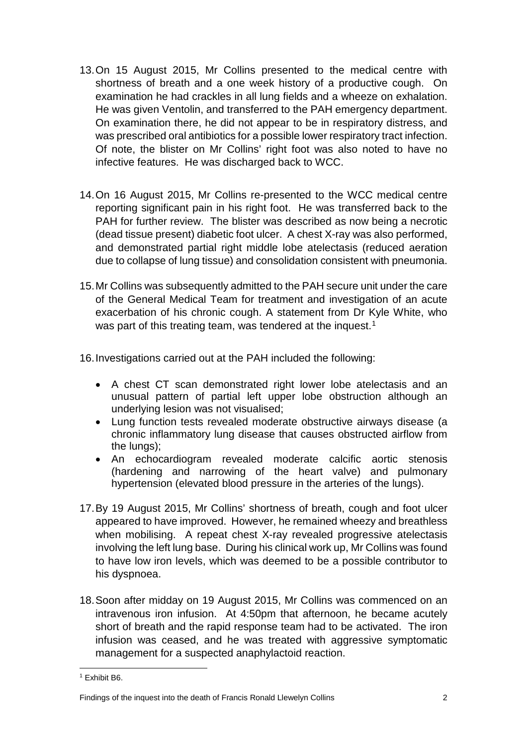- 13.On 15 August 2015, Mr Collins presented to the medical centre with shortness of breath and a one week history of a productive cough. On examination he had crackles in all lung fields and a wheeze on exhalation. He was given Ventolin, and transferred to the PAH emergency department. On examination there, he did not appear to be in respiratory distress, and was prescribed oral antibiotics for a possible lower respiratory tract infection. Of note, the blister on Mr Collins' right foot was also noted to have no infective features. He was discharged back to WCC.
- 14.On 16 August 2015, Mr Collins re-presented to the WCC medical centre reporting significant pain in his right foot. He was transferred back to the PAH for further review. The blister was described as now being a necrotic (dead tissue present) diabetic foot ulcer. A chest X-ray was also performed, and demonstrated partial right middle lobe atelectasis (reduced aeration due to collapse of lung tissue) and consolidation consistent with pneumonia.
- 15.Mr Collins was subsequently admitted to the PAH secure unit under the care of the General Medical Team for treatment and investigation of an acute exacerbation of his chronic cough. A statement from Dr Kyle White, who was part of this treating team, was tendered at the inquest.<sup>[1](#page-3-0)</sup>

16.Investigations carried out at the PAH included the following:

- A chest CT scan demonstrated right lower lobe atelectasis and an unusual pattern of partial left upper lobe obstruction although an underlying lesion was not visualised;
- Lung function tests revealed moderate obstructive airways disease (a chronic inflammatory lung disease that causes obstructed airflow from the lungs);
- An echocardiogram revealed moderate calcific aortic stenosis (hardening and narrowing of the heart valve) and pulmonary hypertension (elevated blood pressure in the arteries of the lungs).
- 17.By 19 August 2015, Mr Collins' shortness of breath, cough and foot ulcer appeared to have improved. However, he remained wheezy and breathless when mobilising. A repeat chest X-ray revealed progressive atelectasis involving the left lung base. During his clinical work up, Mr Collins was found to have low iron levels, which was deemed to be a possible contributor to his dyspnoea.
- 18.Soon after midday on 19 August 2015, Mr Collins was commenced on an intravenous iron infusion. At 4:50pm that afternoon, he became acutely short of breath and the rapid response team had to be activated. The iron infusion was ceased, and he was treated with aggressive symptomatic management for a suspected anaphylactoid reaction.

<span id="page-3-0"></span><sup>1</sup> Exhibit B6.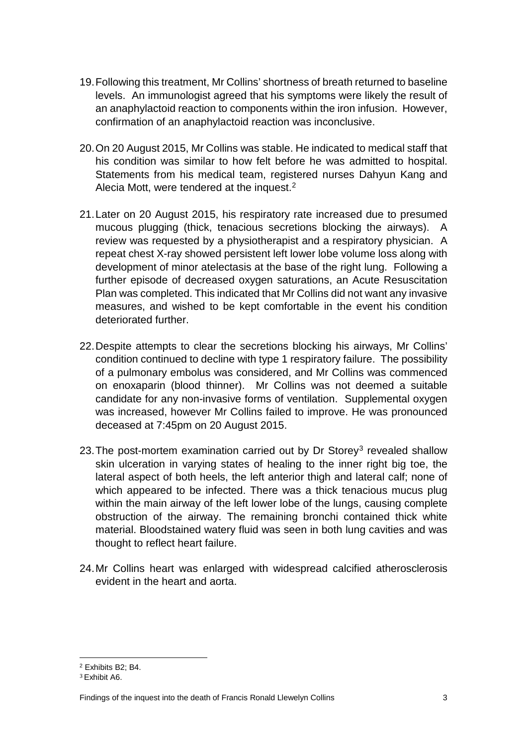- 19.Following this treatment, Mr Collins' shortness of breath returned to baseline levels. An immunologist agreed that his symptoms were likely the result of an anaphylactoid reaction to components within the iron infusion. However, confirmation of an anaphylactoid reaction was inconclusive.
- 20.On 20 August 2015, Mr Collins was stable. He indicated to medical staff that his condition was similar to how felt before he was admitted to hospital. Statements from his medical team, registered nurses Dahyun Kang and Alecia Mott, were tendered at the inquest.[2](#page-4-0)
- 21.Later on 20 August 2015, his respiratory rate increased due to presumed mucous plugging (thick, tenacious secretions blocking the airways). A review was requested by a physiotherapist and a respiratory physician. A repeat chest X-ray showed persistent left lower lobe volume loss along with development of minor atelectasis at the base of the right lung. Following a further episode of decreased oxygen saturations, an Acute Resuscitation Plan was completed. This indicated that Mr Collins did not want any invasive measures, and wished to be kept comfortable in the event his condition deteriorated further.
- 22.Despite attempts to clear the secretions blocking his airways, Mr Collins' condition continued to decline with type 1 respiratory failure. The possibility of a pulmonary embolus was considered, and Mr Collins was commenced on enoxaparin (blood thinner). Mr Collins was not deemed a suitable candidate for any non-invasive forms of ventilation. Supplemental oxygen was increased, however Mr Collins failed to improve. He was pronounced deceased at 7:45pm on 20 August 2015.
- 2[3](#page-4-1). The post-mortem examination carried out by Dr Storey<sup>3</sup> revealed shallow skin ulceration in varying states of healing to the inner right big toe, the lateral aspect of both heels, the left anterior thigh and lateral calf; none of which appeared to be infected. There was a thick tenacious mucus plug within the main airway of the left lower lobe of the lungs, causing complete obstruction of the airway. The remaining bronchi contained thick white material. Bloodstained watery fluid was seen in both lung cavities and was thought to reflect heart failure.
- 24.Mr Collins heart was enlarged with widespread calcified atherosclerosis evident in the heart and aorta.

<sup>2</sup> Exhibits B2; B4.  $\overline{\phantom{0}}$ 

<span id="page-4-1"></span><span id="page-4-0"></span><sup>3</sup>Exhibit A6.

Findings of the inquest into the death of Francis Ronald Llewelyn Collins 3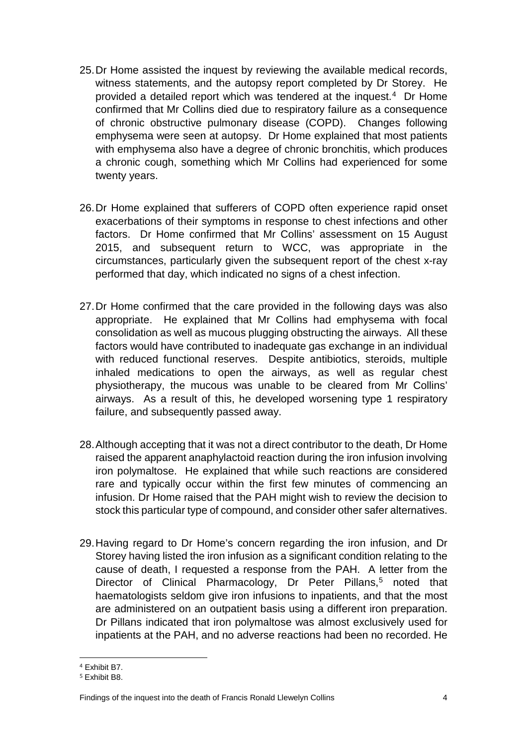- 25.Dr Home assisted the inquest by reviewing the available medical records, witness statements, and the autopsy report completed by Dr Storey. He provided a detailed report which was tendered at the inquest.[4](#page-5-0) Dr Home confirmed that Mr Collins died due to respiratory failure as a consequence of chronic obstructive pulmonary disease (COPD). Changes following emphysema were seen at autopsy. Dr Home explained that most patients with emphysema also have a degree of chronic bronchitis, which produces a chronic cough, something which Mr Collins had experienced for some twenty years.
- 26.Dr Home explained that sufferers of COPD often experience rapid onset exacerbations of their symptoms in response to chest infections and other factors. Dr Home confirmed that Mr Collins' assessment on 15 August 2015, and subsequent return to WCC, was appropriate in the circumstances, particularly given the subsequent report of the chest x-ray performed that day, which indicated no signs of a chest infection.
- 27.Dr Home confirmed that the care provided in the following days was also appropriate. He explained that Mr Collins had emphysema with focal consolidation as well as mucous plugging obstructing the airways. All these factors would have contributed to inadequate gas exchange in an individual with reduced functional reserves. Despite antibiotics, steroids, multiple inhaled medications to open the airways, as well as regular chest physiotherapy, the mucous was unable to be cleared from Mr Collins' airways. As a result of this, he developed worsening type 1 respiratory failure, and subsequently passed away.
- 28.Although accepting that it was not a direct contributor to the death, Dr Home raised the apparent anaphylactoid reaction during the iron infusion involving iron polymaltose. He explained that while such reactions are considered rare and typically occur within the first few minutes of commencing an infusion. Dr Home raised that the PAH might wish to review the decision to stock this particular type of compound, and consider other safer alternatives.
- 29.Having regard to Dr Home's concern regarding the iron infusion, and Dr Storey having listed the iron infusion as a significant condition relating to the cause of death, I requested a response from the PAH. A letter from the Director of Clinical Pharmacology, Dr Peter Pillans, [5](#page-5-1) noted that haematologists seldom give iron infusions to inpatients, and that the most are administered on an outpatient basis using a different iron preparation. Dr Pillans indicated that iron polymaltose was almost exclusively used for inpatients at the PAH, and no adverse reactions had been no recorded. He

<sup>4</sup> Exhibit B7.  $\overline{a}$ 

<span id="page-5-1"></span><span id="page-5-0"></span><sup>5</sup> Exhibit B8.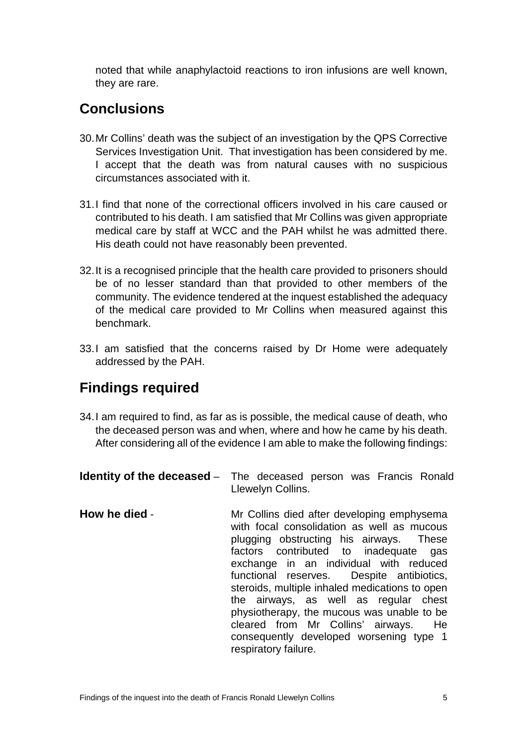noted that while anaphylactoid reactions to iron infusions are well known, they are rare.

## **Conclusions**

- 30.Mr Collins' death was the subject of an investigation by the QPS Corrective Services Investigation Unit. That investigation has been considered by me. I accept that the death was from natural causes with no suspicious circumstances associated with it.
- 31.I find that none of the correctional officers involved in his care caused or contributed to his death. I am satisfied that Mr Collins was given appropriate medical care by staff at WCC and the PAH whilst he was admitted there. His death could not have reasonably been prevented.
- 32.It is a recognised principle that the health care provided to prisoners should be of no lesser standard than that provided to other members of the community. The evidence tendered at the inquest established the adequacy of the medical care provided to Mr Collins when measured against this benchmark.
- 33.I am satisfied that the concerns raised by Dr Home were adequately addressed by the PAH.

#### **Findings required**

- 34.I am required to find, as far as is possible, the medical cause of death, who the deceased person was and when, where and how he came by his death. After considering all of the evidence I am able to make the following findings:
- **Identity of the deceased** The deceased person was Francis Ronald Llewelyn Collins.
- **How he died** Mr Collins died after developing emphysema with focal consolidation as well as mucous plugging obstructing his airways. These factors contributed to inadequate gas exchange in an individual with reduced functional reserves. Despite antibiotics, steroids, multiple inhaled medications to open the airways, as well as regular chest physiotherapy, the mucous was unable to be cleared from Mr Collins' airways. He consequently developed worsening type 1 respiratory failure.